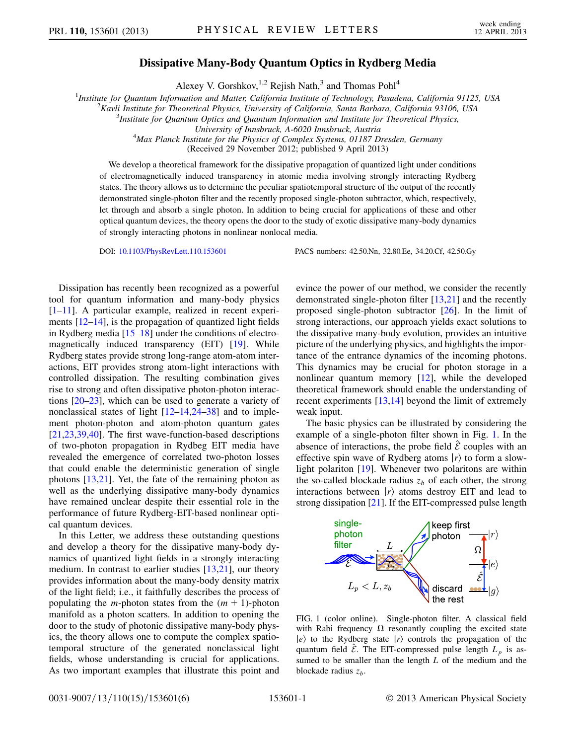## Dissipative Many-Body Quantum Optics in Rydberg Media

Alexey V. Gorshkov,<sup>1,2</sup> Rejish Nath,<sup>3</sup> and Thomas Pohl<sup>4</sup>

<sup>1</sup>Institute for Quantum Information and Matter, California Institute of Technology, Pasadena, California 91125, USA  $\frac{2}{K}$ cyli Institute for Theoratical Physics, University of California Santa Barbara, California 9310

 $K<sup>2</sup>K$ avli Institute for Theoretical Physics, University of California, Santa Barbara, California 93106, USA

<sup>3</sup>Institute for Quantum Optics and Quantum Information and Institute for Theoretical Physics,

University of Innsbruck, A-6020 Innsbruck, Austria <sup>4</sup> Max Planck Institute for the Physics of Complex Systems, 01187 Dresden, Germany

(Received 29 November 2012; published 9 April 2013)

We develop a theoretical framework for the dissipative propagation of quantized light under conditions of electromagnetically induced transparency in atomic media involving strongly interacting Rydberg states. The theory allows us to determine the peculiar spatiotemporal structure of the output of the recently demonstrated single-photon filter and the recently proposed single-photon subtractor, which, respectively, let through and absorb a single photon. In addition to being crucial for applications of these and other optical quantum devices, the theory opens the door to the study of exotic dissipative many-body dynamics of strongly interacting photons in nonlinear nonlocal media.

DOI: [10.1103/PhysRevLett.110.153601](http://dx.doi.org/10.1103/PhysRevLett.110.153601) PACS numbers: 42.50.Nn, 32.80.Ee, 34.20.Cf, 42.50.Gy

Dissipation has recently been recognized as a powerful tool for quantum information and many-body physics [\[1–](#page-4-0)[11](#page-4-1)]. A particular example, realized in recent experiments [\[12–](#page-4-2)[14](#page-4-3)], is the propagation of quantized light fields in Rydberg media [\[15–](#page-4-4)[18](#page-4-5)] under the conditions of electromagnetically induced transparency (EIT) [[19](#page-4-6)]. While Rydberg states provide strong long-range atom-atom interactions, EIT provides strong atom-light interactions with controlled dissipation. The resulting combination gives rise to strong and often dissipative photon-photon interactions [\[20–](#page-4-7)[23](#page-4-8)], which can be used to generate a variety of nonclassical states of light [\[12–](#page-4-2)[14](#page-4-3),[24](#page-4-9)–[38\]](#page-5-0) and to implement photon-photon and atom-photon quantum gates [\[21](#page-4-10)[,23,](#page-4-8)[39](#page-5-1),[40](#page-5-2)]. The first wave-function-based descriptions of two-photon propagation in Rydbeg EIT media have revealed the emergence of correlated two-photon losses that could enable the deterministic generation of single photons [\[13,](#page-4-11)[21\]](#page-4-10). Yet, the fate of the remaining photon as well as the underlying dissipative many-body dynamics have remained unclear despite their essential role in the performance of future Rydberg-EIT-based nonlinear optical quantum devices.

In this Letter, we address these outstanding questions and develop a theory for the dissipative many-body dynamics of quantized light fields in a strongly interacting medium. In contrast to earlier studies [[13](#page-4-11),[21](#page-4-10)], our theory provides information about the many-body density matrix of the light field; i.e., it faithfully describes the process of populating the *m*-photon states from the  $(m + 1)$ -photon manifold as a photon scatters. In addition to opening the door to the study of photonic dissipative many-body physics, the theory allows one to compute the complex spatiotemporal structure of the generated nonclassical light fields, whose understanding is crucial for applications. As two important examples that illustrate this point and evince the power of our method, we consider the recently demonstrated single-photon filter [[13](#page-4-11),[21](#page-4-10)] and the recently proposed single-photon subtractor [\[26\]](#page-4-12). In the limit of strong interactions, our approach yields exact solutions to the dissipative many-body evolution, provides an intuitive picture of the underlying physics, and highlights the importance of the entrance dynamics of the incoming photons. This dynamics may be crucial for photon storage in a nonlinear quantum memory [\[12\]](#page-4-2), while the developed theoretical framework should enable the understanding of recent experiments  $[13,14]$  $[13,14]$  beyond the limit of extremely weak input.

The basic physics can be illustrated by considering the example of a single-photon filter shown in Fig. [1](#page-0-0). In the absence of interactions, the probe field  $\mathcal{E}$  couples with an effective spin wave of Rydberg atoms  $|r\rangle$  to form a slowlight polariton [[19](#page-4-6)]. Whenever two polaritons are within the so-called blockade radius  $z_b$  of each other, the strong interactions between  $|r\rangle$  atoms destroy EIT and lead to strong dissipation [[21](#page-4-10)]. If the EIT-compressed pulse length

<span id="page-0-0"></span>

FIG. 1 (color online). Single-photon filter. A classical field with Rabi frequency  $\Omega$  resonantly coupling the excited state  $|e\rangle$  to the Rydberg state  $|r\rangle$  controls the propagation of the quantum field  $\hat{\mathcal{E}}$ . The EIT-compressed pulse length  $L_p$  is assumed to be smaller than the length  $L$  of the medium and the blockade radius  $z<sub>b</sub>$ .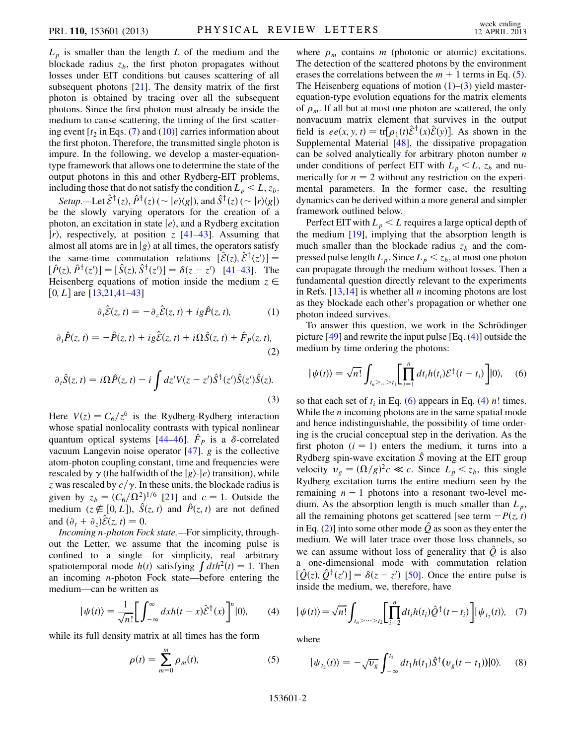$L_p$  is smaller than the length L of the medium and the blockade radius  $z<sub>b</sub>$ , the first photon propagates without losses under EIT conditions but causes scattering of all subsequent photons [\[21\]](#page-4-10). The density matrix of the first photon is obtained by tracing over all the subsequent photons. Since the first photon must already be inside the medium to cause scattering, the timing of the first scattering event  $[t_2]$  in Eqs. [\(7](#page-1-0)) and ([10](#page-2-0))] carries information about the first photon. Therefore, the transmitted single photon is impure. In the following, we develop a master-equationtype framework that allows one to determine the state of the output photons in this and other Rydberg-EIT problems, including those that do not satisfy the condition  $L_p < L$ ,  $z_b$ .

Setup.—Let  $\mathcal{E}^{\dagger}(z)$ ,  $\hat{P}^{\dagger}(z)$  (  $\sim |e\rangle\langle g|$ ), and  $\hat{S}^{\dagger}(z)$  (  $\sim |r\rangle\langle g|$ ) be the slowly varying operators for the creation of a photon, an excitation in state  $|e\rangle$ , and a Rydberg excitation  $|r\rangle$ , respectively, at position z  $[41-43]$  $[41-43]$ . Assuming that almost all atoms are in  $|g\rangle$  at all times, the operators satisfy the same-time commutation relations  $[\mathcal{E}(z), \mathcal{E}^{\dagger}(z')] =$  $[\hat{P}(z), \hat{P}^{\dagger}(z')] = [\hat{S}(z), \hat{S}^{\dagger}(z')] = \delta(z - z')$  [\[41](#page-5-3)[–43\]](#page-5-4). The Heisenberg equations of motion inside the medium  $z \in$ [0, L] are  $[13,21,41-43]$  $[13,21,41-43]$  $[13,21,41-43]$  $[13,21,41-43]$  $[13,21,41-43]$  $[13,21,41-43]$  $[13,21,41-43]$ 

$$
\partial_t \hat{\mathcal{E}}(z, t) = -\partial_z \hat{\mathcal{E}}(z, t) + ig \hat{P}(z, t), \tag{1}
$$

<span id="page-1-6"></span><span id="page-1-3"></span>
$$
\partial_t \hat{P}(z,t) = -\hat{P}(z,t) + ig\hat{\mathcal{E}}(z,t) + i\Omega \hat{S}(z,t) + \hat{F}_P(z,t),
$$
\n(2)

$$
\partial_t \hat{S}(z, t) = i\Omega \hat{P}(z, t) - i \int dz' V(z - z') \hat{S}^{\dagger}(z') \hat{S}(z') \hat{S}(z).
$$
\n(3)

<span id="page-1-2"></span>Here  $V(z) = C_6/z^6$  is the Rydberg-Rydberg interaction whose spatial nonlocality contrasts with typical nonlinear quantum optical systems  $[44-46]$  $[44-46]$  $[44-46]$  $[44-46]$  $[44-46]$ .  $\hat{F}_P$  is a  $\delta$ -correlated vacuum Langevin noise operator  $[47]$  $[47]$  $[47]$ . g is the collective atom-photon coupling constant, time and frequencies were rescaled by  $\gamma$  (the halfwidth of the  $|g\rangle$ - $|e\rangle$  transition), while z was rescaled by  $c/\gamma$ . In these units, the blockade radius is given by  $z_b = (C_6/\Omega^2)^{1/6}$  [\[21\]](#page-4-10) and  $c = 1$ . Outside the medium  $(z \notin [0, I])$ ,  $\hat{S}(z, t)$  and  $\hat{B}(z, t)$  are not defined medium  $(z \notin [0, L])$ ,  $\hat{S}(z, t)$  and  $\hat{P}(z, t)$  are not defined<br>and  $(\partial_z + \partial_z)\hat{S}(z, t) = 0$ and  $(\partial_t + \partial_z)\mathcal{E}(z, t) = 0.$ <br>Incoming n-photon Form

Incoming n-photon Fock state.—For simplicity, throughout the Letter, we assume that the incoming pulse is confined to a single—for simplicity, real—arbitrary spatiotemporal mode  $h(t)$  satisfying  $\int dt h^2(t) = 1$ . Then an incoming n-photon Fock state—before entering the medium—can be written as

<span id="page-1-4"></span>
$$
|\psi(t)\rangle = \frac{1}{\sqrt{n!}} \bigg[ \int_{-\infty}^{\infty} dx h(t-x) \hat{\mathcal{E}}^{\dagger}(x) \bigg]^n |0\rangle, \qquad (4)
$$

<span id="page-1-1"></span>while its full density matrix at all times has the form

$$
\rho(t) = \sum_{m=0}^{m} \rho_m(t),\tag{5}
$$

where  $\rho_m$  contains m (photonic or atomic) excitations. The detection of the scattered photons by the environment erases the correlations between the  $m + 1$  terms in Eq. ([5\)](#page-1-1). The Heisenberg equations of motion  $(1)$  $(1)$ – $(3)$  $(3)$  yield masterequation-type evolution equations for the matrix elements of  $\rho_m$ . If all but at most one photon are scattered, the only nonvacuum matrix element that survives in the output field is  $ee(x, y, t) = \text{tr}[\rho_1(t)\hat{\mathcal{E}}^{\dagger}(x)\hat{\mathcal{E}}(y)]$ . As shown in the Supplemental Material 1481 the dissinative propagation Supplemental Material [\[48\]](#page-5-8), the dissipative propagation can be solved analytically for arbitrary photon number  $n$ under conditions of perfect EIT with  $L_p < L$ ,  $z_b$  and numerically for  $n = 2$  without any restriction on the experimental parameters. In the former case, the resulting dynamics can be derived within a more general and simpler framework outlined below.

Perfect EIT with  $L_p < L$  requires a large optical depth of the medium [\[19\]](#page-4-6), implying that the absorption length is much smaller than the blockade radius  $z_b$  and the compressed pulse length  $L_p$ . Since  $L_p < z_b$ , at most one photon can propagate through the medium without losses. Then a fundamental question directly relevant to the experiments in Refs.  $[13,14]$  $[13,14]$  $[13,14]$  $[13,14]$  $[13,14]$  is whether all *n* incoming photons are lost as they blockade each other's propagation or whether one photon indeed survives.

To answer this question, we work in the Schrödinger picture [[49](#page-5-9)] and rewrite the input pulse [Eq. ([4\)](#page-1-4)] outside the medium by time ordering the photons:

<span id="page-1-5"></span>
$$
|\psi(t)\rangle = \sqrt{n!} \int_{t_n > ... > t_1} \left[ \prod_{i=1}^n dt_i h(t_i) \mathcal{E}^\dagger(t - t_i) \right] |0\rangle, \quad (6)
$$

so that each set of  $t_i$  in Eq. ([6\)](#page-1-5) appears in Eq. [\(4](#page-1-4)) *n*! times. While the  $n$  incoming photons are in the same spatial mode and hence indistinguishable, the possibility of time ordering is the crucial conceptual step in the derivation. As the first photon  $(i = 1)$  enters the medium, it turns into a Rydberg spin-wave excitation  $\hat{S}$  moving at the EIT group velocity  $v_g = (\Omega/g)^2 c \ll c$ . Since  $L_p < z_b$ , this single <br>Pydberg excitation turns the entire medium seen by the Rydberg excitation turns the entire medium seen by the remaining  $n - 1$  photons into a resonant two-level medium. As the absorption length is much smaller than  $L_p$ , all the remaining photons get scattered [see term  $-P(z, t)$ in Eq. [\(2](#page-1-6))] into some other mode  $\hat{Q}$  as soon as they enter the medium. We will later trace over those loss channels, so we can assume without loss of generality that  $\hat{Q}$  is also a one-dimensional mode with commutation relation  $[\hat{Q}(z), \hat{Q}^{\dagger}(z')] = \delta(z - z')$  [[50](#page-5-10)]. Once the entire pulse is inside the medium, we, therefore, have

<span id="page-1-0"></span>
$$
|\psi(t)\rangle = \sqrt{n!} \int_{t_n > \dots > t_2} \left[ \prod_{i=2}^n dt_i h(t_i) \hat{Q}^\dagger(t - t_i) \right] |\psi_{t_2}(t)\rangle, \quad (7)
$$

where

$$
|\psi_{t_2}(t)\rangle = -\sqrt{\nu_g} \int_{-\infty}^{t_2} dt_1 h(t_1) \hat{S}^{\dagger} (\nu_g(t - t_1)) |0\rangle.
$$
 (8)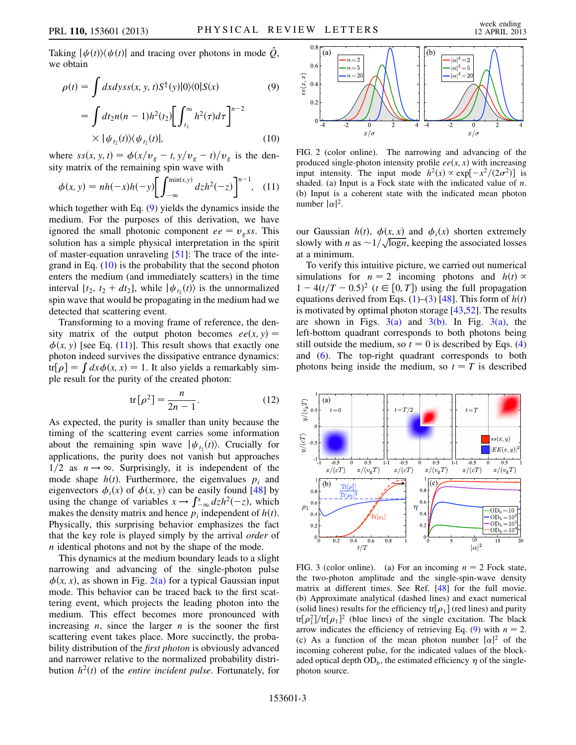Taking  $|\psi(t)\rangle\langle \psi(t)|$  and tracing over photons in mode  $\hat{Q}$ , we obtain

<span id="page-2-0"></span>
$$
\rho(t) = \int dx dy s s(x, y, t) S^{\dagger}(y) |0\rangle\langle 0| S(x)
$$
(9)  

$$
= \int dt_2 n(n-1) h^2(t_2) \left[ \int_{t_2}^{\infty} h^2(\tau) d\tau \right]^{n-2}
$$
  

$$
\times |\psi_{t_2}(t)\rangle\langle \psi_{t_2}(t)|,
$$
(10)

<span id="page-2-1"></span>where  $ss(x, y, t) = \phi(x/v_g - t, y/v_g - t)/v_g$  is the density matrix of the remaining spin wave with

<span id="page-2-2"></span>
$$
\phi(x, y) = nh(-x)h(-y) \left[ \int_{-\infty}^{\min(x, y)} dz h^2(-z) \right]^{n-1}, \quad (11)
$$

which together with Eq. ([9](#page-2-1)) yields the dynamics inside the medium. For the purposes of this derivation, we have ignored the small photonic component  $ee = v_{\varphi}$ ss. This solution has a simple physical interpretation in the spirit of master-equation unraveling [\[51\]](#page-5-11): The trace of the integrand in Eq.  $(10)$  is the probability that the second photon enters the medium (and immediately scatters) in the time interval  $[t_2, t_2 + dt_2]$ , while  $|\psi_{t_2}(t)\rangle$  is the unnormalized spin wave that would be propagating in the medium had we detected that scattering event.

Transforming to a moving frame of reference, the density matrix of the output photon becomes  $ee(x, y) =$  $\phi(x, y)$  [see Eq. ([11](#page-2-2))]. This result shows that exactly one photon indeed survives the dissipative entrance dynamics: tr[ $\rho$ ] =  $\int dx \phi(x, x) = 1$ . It also yields a remarkably simple result for the purity of the created photon:

$$
\text{tr}\big[\rho^2\big] = \frac{n}{2n-1}.\tag{12}
$$

As expected, the purity is smaller than unity because the timing of the scattering event carries some information about the remaining spin wave  $|\psi_{t_2}(t)\rangle$ . Crucially for applications, the purity does not vanish but approaches  $1/2$  as  $n \rightarrow \infty$ . Surprisingly, it is independent of the mode shape  $h(t)$ . Furthermore, the eigenvalues  $p_i$  and eigenvectors  $\phi_i(x)$  of  $\phi(x, y)$  can be easily found [\[48\]](#page-5-8) by using the change of variables  $x \to \int_{-\infty}^{x} dz h^2(-z)$ , which makes the density matrix and hence  $p_i$  independent of  $h(t)$ . Physically, this surprising behavior emphasizes the fact that the key role is played simply by the arrival order of n identical photons and not by the shape of the mode.

This dynamics at the medium boundary leads to a slight narrowing and advancing of the single-photon pulse  $\phi(x, x)$ , as shown in Fig. [2\(a\)](#page-2-3) for a typical Gaussian input mode. This behavior can be traced back to the first scattering event, which projects the leading photon into the medium. This effect becomes more pronounced with increasing  $n$ , since the larger  $n$  is the sooner the first scattering event takes place. More succinctly, the probability distribution of the *first photon* is obviously advanced and narrower relative to the normalized probability distribution  $h^2(t)$  of the *entire incident pulse*. Fortunately, for



<span id="page-2-3"></span>FIG. 2 (color online). The narrowing and advancing of the produced single-photon intensity profile  $ee(x, x)$  with increasing input intensity. The input mode  $h^2(x) \propto \exp[-x^2/(2\sigma^2)]$  is<br>shaded (a) Input is a Fock state with the indicated value of n shaded. (a) Input is a Fock state with the indicated value of  $n$ . (b) Input is a coherent state with the indicated mean photon number  $|\alpha|^2$ .

our Gaussian  $h(t)$ ,  $\phi(x, x)$  and  $\phi_i(x)$  shorten extremely slowly with n as  $\sim 1/\sqrt{\log n}$ , keeping the associated losses at a minimum at a minimum.

To verify this intuitive picture, we carried out numerical simulations for  $n = 2$  incoming photons and  $h(t) \propto$  $1 - 4(t/T - 0.5)^2$  ( $t \in [0, T]$ ) using the full propagation<br>equations derived from Eqs. (1)–(3) [48]. This form of  $h(t)$ equations derived from Eqs. [\(1](#page-1-2))–[\(3\)](#page-1-3) [\[48\]](#page-5-8). This form of  $h(t)$ is motivated by optimal photon storage [\[43](#page-5-4)[,52\]](#page-5-12). The results are shown in Figs.  $3(a)$  and  $3(b)$ . In Fig.  $3(a)$ , the left-bottom quadrant corresponds to both photons being still outside the medium, so  $t = 0$  is described by Eqs. [\(4\)](#page-1-4) and [\(6\)](#page-1-5). The top-right quadrant corresponds to both photons being inside the medium, so  $t = T$  is described



<span id="page-2-4"></span>FIG. 3 (color online). (a) For an incoming  $n = 2$  Fock state, the two-photon amplitude and the single-spin-wave density matrix at different times. See Ref. [\[48\]](#page-5-8) for the full movie. (b) Approximate analytical (dashed lines) and exact numerical (solid lines) results for the efficiency  $tr[\rho_1]$  (red lines) and purity  $tr[\rho_1^2]/tr[\rho_1]^2$  (blue lines) of the single excitation. The black tr[ $\rho_1^2$ ]/tr[ $\rho_1^2$ ]<sup>2</sup> (blue lines) of the single excitation. The black<br>arrow indicates the efficiency of retrieving Eq. (9) with  $n = 2$ arrow indicates the efficiency of retrieving Eq. [\(9](#page-2-1)) with  $n = 2$ . (c) As a function of the mean photon number  $|\alpha|^2$  of the incoming coherent pulse, for the indicated values of the blockaded optical depth  $OD<sub>b</sub>$ , the estimated efficiency  $\eta$  of the singlephoton source.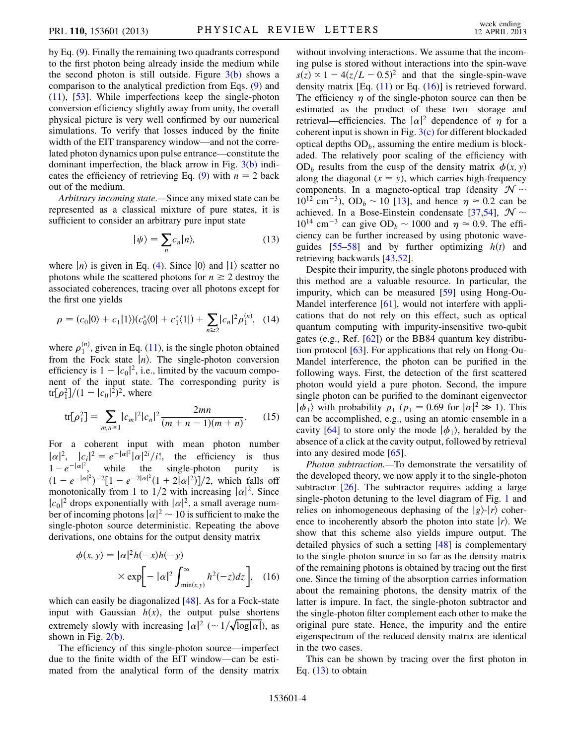by Eq. ([9\)](#page-2-1). Finally the remaining two quadrants correspond to the first photon being already inside the medium while the second photon is still outside. Figure  $3(b)$  shows a comparison to the analytical prediction from Eqs. ([9](#page-2-1)) and [\(11\)](#page-2-2), [[53](#page-5-13)]. While imperfections keep the single-photon conversion efficiency slightly away from unity, the overall physical picture is very well confirmed by our numerical simulations. To verify that losses induced by the finite width of the EIT transparency window—and not the correlated photon dynamics upon pulse entrance—constitute the dominant imperfection, the black arrow in Fig. [3\(b\)](#page-2-4) indi-cates the efficiency of retrieving Eq. [\(9\)](#page-2-1) with  $n = 2$  back out of the medium.

<span id="page-3-1"></span>Arbitrary incoming state.—Since any mixed state can be represented as a classical mixture of pure states, it is sufficient to consider an arbitrary pure input state

$$
|\psi\rangle = \sum_{n} c_n |n\rangle, \tag{13}
$$

where  $|n\rangle$  is given in Eq. ([4\)](#page-1-4). Since  $|0\rangle$  and  $|1\rangle$  scatter no photons while the scattered photons for  $n \geq 2$  destroy the associated coherences, tracing over all photons except for the first one yields

<span id="page-3-2"></span>
$$
\rho = (c_0|0\rangle + c_1|1\rangle)(c_0^*|0\rangle + c_1^*|1\rangle) + \sum_{n=2} |c_n|^2 \rho_1^{(n)}, \quad (14)
$$

where  $\rho_1^{(n)}$ , given in Eq. ([11](#page-2-2)), is the single photon obtained<br>from the Fock state  $|n\rangle$ . The single-photon conversion from the Fock state  $|n\rangle$ . The single-photon conversion efficiency is  $1 - |c_0|^2$ , i.e., limited by the vacuum compo-<br>nent of the input state. The corresponding purity is nent of the input state. The corresponding purity is tr[ $\rho_1^2$ ]/(1 –  $|c_0|^2$ )<sup>2</sup>, where

$$
\text{tr}[\rho_1^2] = \sum_{m,n \ge 1} |c_m|^2 |c_n|^2 \frac{2mn}{(m+n-1)(m+n)}.\tag{15}
$$

For a coherent input with mean photon number  $|\alpha|^2$ ,  $|c_i|^2 = e^{-|\alpha|^2} |\alpha|^{2i}/i!$ , the efficiency is thus<br> $|c_i|^2 = |c_i|^2$  while the single-photon purity is  $1-e^{-|\alpha|^2}$ , while the single-photon purity is<br>  $(1-e^{-|\alpha|^2})^{-2}$   $[1-e^{-2|\alpha|^2}(1+2|\alpha|^2)]/2$  which falls of  $(1 - e^{-|\alpha|^2})^{-2} [1 - e^{-2|\alpha|^2}(1 + 2|\alpha|^2)]/2$ , which falls off monotonically from 1 to 1/2 with increasing  $|\alpha|^2$ . Since monotonically from 1 to 1/2 with increasing  $|\alpha|^2$ . Since  $|c_0|^2$  drops exponentially with  $|\alpha|^2$  a small average num- $|c_0|^2$  drops exponentially with  $|\alpha|^2$ , a small average num-<br>ber of incoming photons  $|\alpha|^2 \approx 10$  is sufficient to make the ber of incoming photons  $|\alpha|^2 \sim 10$  is sufficient to make the single-photon source deterministic. Repeating the above single-photon source deterministic. Repeating the above derivations, one obtains for the output density matrix

<span id="page-3-0"></span>
$$
\phi(x, y) = |\alpha|^2 h(-x)h(-y)
$$
  
 
$$
\times \exp\left[-|\alpha|^2 \int_{\min(x, y)}^{\infty} h^2(-z)dz\right], \quad (16)
$$

which can easily be diagonalized [\[48\]](#page-5-8). As for a Fock-state input with Gaussian  $h(x)$ , the output pulse shortens extremely slowly with increasing  $|\alpha|^2 \left( \sim 1/\sqrt{\log |\alpha|} \right)$ , as shown in Fig. 2(b) shown in Fig.  $2(b)$ .

The efficiency of this single-photon source—imperfect due to the finite width of the EIT window—can be estimated from the analytical form of the density matrix without involving interactions. We assume that the incoming pulse is stored without interactions into the spin-wave  $s(z) \propto 1 - 4(z/L - 0.5)^2$  and that the single-spin-wave<br>density matrix [Eq. (11) or Eq. (16)] is retrieved forward density matrix [Eq.  $(11)$  or Eq.  $(16)$ ] is retrieved forward. The efficiency  $\eta$  of the single-photon source can then be estimated as the product of these two—storage and retrieval—efficiencies. The  $|\alpha|^2$  dependence of  $\eta$  for a coherent input is shown in Fig.  $3(c)$  for different blockaded optical depths  $OD_b$ , assuming the entire medium is blockaded. The relatively poor scaling of the efficiency with  $OD<sub>b</sub>$  results from the cusp of the density matrix  $\phi(x, y)$ along the diagonal  $(x = y)$ , which carries high-frequency components. In a magneto-optical trap (density  $\mathcal{N} \sim$  $10^{12}$  cm<sup>-3</sup>), OD<sub>b</sub> ~ 10 [[13](#page-4-11)], and hence  $\eta \approx 0.2$  can be achieved. In a Bose-Einstein condensate [[37](#page-5-14)[,54](#page-5-15)],  $\mathcal{N} \sim$  $10^{14}$  cm<sup>-3</sup> can give OD<sub>b</sub>  $\sim$  1000 and  $\eta \approx 0.9$ . The efficiency can be further increased by using photonic waveguides  $[55-58]$  $[55-58]$  and by further optimizing  $h(t)$  and retrieving backwards [[43](#page-5-4),[52](#page-5-12)].

Despite their impurity, the single photons produced with this method are a valuable resource. In particular, the impurity, which can be measured [[59](#page-5-18)] using Hong-Ou-Mandel interference [[61](#page-5-19)], would not interfere with applications that do not rely on this effect, such as optical quantum computing with impurity-insensitive two-qubit gates (e.g., Ref. [\[62\]](#page-5-20)) or the BB84 quantum key distribution protocol [[63\]](#page-5-21). For applications that rely on Hong-Ou-Mandel interference, the photon can be purified in the following ways. First, the detection of the first scattered photon would yield a pure photon. Second, the impure single photon can be purified to the dominant eigenvector  $|\phi_1\rangle$  with probability  $p_1$  ( $p_1 = 0.69$  for  $|\alpha|^2 \gg 1$ ). This can be accomplished, e.g., using an atomic ensemble in a cavity [[64](#page-5-22)] to store only the mode  $|\phi_1\rangle$ , heralded by the absence of a click at the cavity output, followed by retrieval into any desired mode  $[65]$  $[65]$ .

Photon subtraction.—To demonstrate the versatility of the developed theory, we now apply it to the single-photon subtractor [[26](#page-4-12)]. The subtractor requires adding a large single-photon detuning to the level diagram of Fig. [1](#page-0-0) and relies on inhomogeneous dephasing of the  $|g\rangle$ - $|r\rangle$  coherence to incoherently absorb the photon into state  $|r\rangle$ . We show that this scheme also yields impure output. The detailed physics of such a setting [\[48\]](#page-5-8) is complementary to the single-photon source in so far as the density matrix of the remaining photons is obtained by tracing out the first one. Since the timing of the absorption carries information about the remaining photons, the density matrix of the latter is impure. In fact, the single-photon subtractor and the single-photon filter complement each other to make the original pure state. Hence, the impurity and the entire eigenspectrum of the reduced density matrix are identical in the two cases.

This can be shown by tracing over the first photon in Eq.  $(13)$  $(13)$  $(13)$  to obtain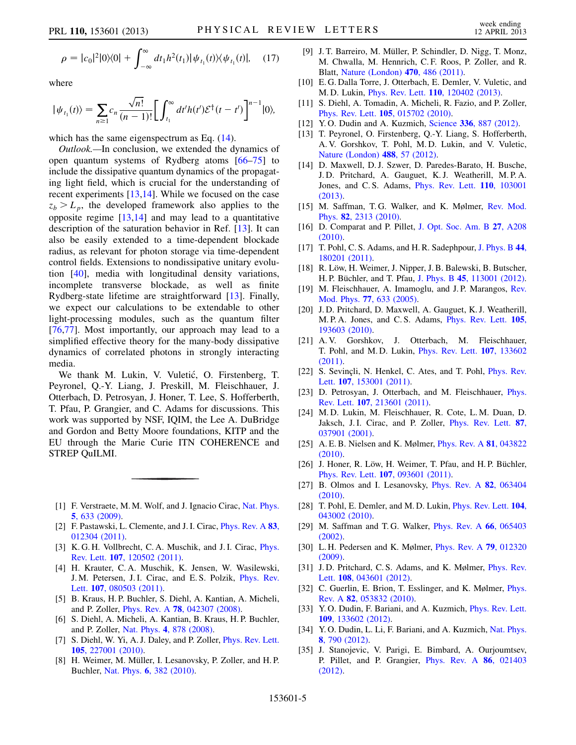$$
\rho = |c_0|^2 |0\rangle\langle 0| + \int_{-\infty}^{\infty} dt_1 h^2(t_1) |\psi_{t_1}(t)\rangle\langle \psi_{t_1}(t)|, \quad (17)
$$

where

$$
|\psi_{t_1}(t)\rangle = \sum_{n\geq 1} c_n \frac{\sqrt{n!}}{(n-1)!} \bigg[ \int_{t_1}^{\infty} dt' h(t') \mathcal{E}^{\dagger}(t-t') \bigg]^{n-1} |0\rangle,
$$

which has the same eigenspectrum as Eq.  $(14)$  $(14)$  $(14)$ .

Outlook.—In conclusion, we extended the dynamics of open quantum systems of Rydberg atoms [[66](#page-5-24)–[75](#page-5-25)] to include the dissipative quantum dynamics of the propagating light field, which is crucial for the understanding of recent experiments [\[13,](#page-4-11)[14\]](#page-4-3). While we focused on the case  $z_b > L_p$ , the developed framework also applies to the opposite regime  $[13,14]$  $[13,14]$  and may lead to a quantitative description of the saturation behavior in Ref. [\[13\]](#page-4-11). It can also be easily extended to a time-dependent blockade radius, as relevant for photon storage via time-dependent control fields. Extensions to nondissipative unitary evolution [\[40\]](#page-5-2), media with longitudinal density variations, incomplete transverse blockade, as well as finite Rydberg-state lifetime are straightforward [[13](#page-4-11)]. Finally, we expect our calculations to be extendable to other light-processing modules, such as the quantum filter [\[76](#page-5-26)[,77\]](#page-5-27). Most importantly, our approach may lead to a simplified effective theory for the many-body dissipative dynamics of correlated photons in strongly interacting media.

We thank M. Lukin, V. Vuletić, O. Firstenberg, T. Peyronel, Q.-Y. Liang, J. Preskill, M. Fleischhauer, J. Otterbach, D. Petrosyan, J. Honer, T. Lee, S. Hofferberth, T. Pfau, P. Grangier, and C. Adams for discussions. This work was supported by NSF, IQIM, the Lee A. DuBridge and Gordon and Betty Moore foundations, KITP and the EU through the Marie Curie ITN COHERENCE and STREP QuILMI.

- <span id="page-4-0"></span>[1] F. Verstraete, M. M. Wolf, and J. Ignacio Cirac, [Nat. Phys.](http://dx.doi.org/10.1038/nphys1342) 5[, 633 \(2009\)](http://dx.doi.org/10.1038/nphys1342).
- [2] F. Pastawski, L. Clemente, and J. I. Cirac, *[Phys. Rev. A](http://dx.doi.org/10.1103/PhysRevA.83.012304)* 83, [012304 \(2011\)](http://dx.doi.org/10.1103/PhysRevA.83.012304).
- [3] K. G. H. Vollbrecht, C. A. Muschik, and J. I. Cirac, *[Phys.](http://dx.doi.org/10.1103/PhysRevLett.107.120502)* Rev. Lett. 107[, 120502 \(2011\).](http://dx.doi.org/10.1103/PhysRevLett.107.120502)
- [4] H. Krauter, C. A. Muschik, K. Jensen, W. Wasilewski, J. M. Petersen, J. I. Cirac, and E. S. Polzik, [Phys. Rev.](http://dx.doi.org/10.1103/PhysRevLett.107.080503) Lett. **107**[, 080503 \(2011\).](http://dx.doi.org/10.1103/PhysRevLett.107.080503)
- [5] B. Kraus, H. P. Buchler, S. Diehl, A. Kantian, A. Micheli, and P. Zoller, Phys. Rev. A 78[, 042307 \(2008\).](http://dx.doi.org/10.1103/PhysRevA.78.042307)
- [6] S. Diehl, A. Micheli, A. Kantian, B. Kraus, H. P. Buchler, and P. Zoller, Nat. Phys. 4[, 878 \(2008\)](http://dx.doi.org/10.1038/nphys1073).
- [7] S. Diehl, W. Yi, A. J. Daley, and P. Zoller, *[Phys. Rev. Lett.](http://dx.doi.org/10.1103/PhysRevLett.105.227001)* 105[, 227001 \(2010\)](http://dx.doi.org/10.1103/PhysRevLett.105.227001).
- [8] H. Weimer, M. Müller, I. Lesanovsky, P. Zoller, and H.P. Buchler, Nat. Phys. 6[, 382 \(2010\)](http://dx.doi.org/10.1038/nphys1614).
- [9] J. T. Barreiro, M. Müller, P. Schindler, D. Nigg, T. Monz, M. Chwalla, M. Hennrich, C. F. Roos, P. Zoller, and R. Blatt, [Nature \(London\)](http://dx.doi.org/10.1038/nature09801) 470, 486 (2011).
- [10] E. G. Dalla Torre, J. Otterbach, E. Demler, V. Vuletic, and M. D. Lukin, Phys. Rev. Lett. 110[, 120402 \(2013\)](http://dx.doi.org/10.1103/PhysRevLett.110.120402).
- <span id="page-4-1"></span>[11] S. Diehl, A. Tomadin, A. Micheli, R. Fazio, and P. Zoller, Phys. Rev. Lett. 105[, 015702 \(2010\).](http://dx.doi.org/10.1103/PhysRevLett.105.015702)
- <span id="page-4-2"></span>[12] Y. O. Dudin and A. Kuzmich, Science 336[, 887 \(2012\).](http://dx.doi.org/10.1126/science.1217901)
- <span id="page-4-11"></span>[13] T. Peyronel, O. Firstenberg, Q.-Y. Liang, S. Hofferberth, A. V. Gorshkov, T. Pohl, M. D. Lukin, and V. Vuletic, [Nature \(London\)](http://dx.doi.org/10.1038/nature11361) 488, 57 (2012).
- <span id="page-4-3"></span>[14] D. Maxwell, D. J. Szwer, D. Paredes-Barato, H. Busche, J. D. Pritchard, A. Gauguet, K. J. Weatherill, M. P. A. Jones, and C. S. Adams, [Phys. Rev. Lett.](http://dx.doi.org/10.1103/PhysRevLett.110.103001) 110, 103001 [\(2013\)](http://dx.doi.org/10.1103/PhysRevLett.110.103001).
- <span id="page-4-4"></span>[15] M. Saffman, T.G. Walker, and K. Mølmer, [Rev. Mod.](http://dx.doi.org/10.1103/RevModPhys.82.2313) Phys. 82[, 2313 \(2010\).](http://dx.doi.org/10.1103/RevModPhys.82.2313)
- [16] D. Comparat and P. Pillet, [J. Opt. Soc. Am. B](http://dx.doi.org/10.1364/JOSAB.27.00A208) 27, A208 [\(2010\)](http://dx.doi.org/10.1364/JOSAB.27.00A208).
- [17] T. Pohl, C. S. Adams, and H. R. Sadephpour, [J. Phys. B](http://dx.doi.org/10.1088/0953-4075/44/18/180201) 44, [180201 \(2011\).](http://dx.doi.org/10.1088/0953-4075/44/18/180201)
- <span id="page-4-5"></span>[18] R. Löw, H. Weimer, J. Nipper, J. B. Balewski, B. Butscher, H. P. Büchler, and T. Pfau, J. Phys. B 45[, 113001 \(2012\).](http://dx.doi.org/10.1088/0953-4075/45/11/113001)
- <span id="page-4-6"></span>[19] M. Fleischhauer, A. Imamoglu, and J.P. Marangos, [Rev.](http://dx.doi.org/10.1103/RevModPhys.77.633) Mod. Phys. 77[, 633 \(2005\)](http://dx.doi.org/10.1103/RevModPhys.77.633).
- <span id="page-4-7"></span>[20] J. D. Pritchard, D. Maxwell, A. Gauguet, K. J. Weatherill, M. P. A. Jones, and C. S. Adams, [Phys. Rev. Lett.](http://dx.doi.org/10.1103/PhysRevLett.105.193603) 105, [193603 \(2010\).](http://dx.doi.org/10.1103/PhysRevLett.105.193603)
- <span id="page-4-10"></span>[21] A. V. Gorshkov, J. Otterbach, M. Fleischhauer, T. Pohl, and M. D. Lukin, [Phys. Rev. Lett.](http://dx.doi.org/10.1103/PhysRevLett.107.133602) 107, 133602 [\(2011\)](http://dx.doi.org/10.1103/PhysRevLett.107.133602).
- [22] S. Sevinçli, N. Henkel, C. Ates, and T. Pohl, *[Phys. Rev.](http://dx.doi.org/10.1103/PhysRevLett.107.153001)* Lett. 107[, 153001 \(2011\).](http://dx.doi.org/10.1103/PhysRevLett.107.153001)
- <span id="page-4-8"></span>[23] D. Petrosyan, J. Otterbach, and M. Fleischhauer, [Phys.](http://dx.doi.org/10.1103/PhysRevLett.107.213601) Rev. Lett. 107[, 213601 \(2011\).](http://dx.doi.org/10.1103/PhysRevLett.107.213601)
- <span id="page-4-9"></span>[24] M. D. Lukin, M. Fleischhauer, R. Cote, L. M. Duan, D. Jaksch, J. I. Cirac, and P. Zoller, *[Phys. Rev. Lett.](http://dx.doi.org/10.1103/PhysRevLett.87.037901)* 87, [037901 \(2001\).](http://dx.doi.org/10.1103/PhysRevLett.87.037901)
- [25] A. E. B. Nielsen and K. Mølmer, [Phys. Rev. A](http://dx.doi.org/10.1103/PhysRevA.81.043822) 81, 043822 [\(2010\)](http://dx.doi.org/10.1103/PhysRevA.81.043822).
- <span id="page-4-12"></span>[26] J. Honer, R. Löw, H. Weimer, T. Pfau, and H. P. Büchler, Phys. Rev. Lett. 107[, 093601 \(2011\).](http://dx.doi.org/10.1103/PhysRevLett.107.093601)
- [27] B. Olmos and I. Lesanovsky, *[Phys. Rev. A](http://dx.doi.org/10.1103/PhysRevA.82.063404)* **82**, 063404 [\(2010\)](http://dx.doi.org/10.1103/PhysRevA.82.063404).
- [28] T. Pohl, E. Demler, and M. D. Lukin, *[Phys. Rev. Lett.](http://dx.doi.org/10.1103/PhysRevLett.104.043002)* **104**, [043002 \(2010\).](http://dx.doi.org/10.1103/PhysRevLett.104.043002)
- [29] M. Saffman and T.G. Walker, *[Phys. Rev. A](http://dx.doi.org/10.1103/PhysRevA.66.065403)* **66**, 065403 [\(2002\)](http://dx.doi.org/10.1103/PhysRevA.66.065403).
- [30] L. H. Pedersen and K. Mølmer, *[Phys. Rev. A](http://dx.doi.org/10.1103/PhysRevA.79.012320)* **79**, 012320 [\(2009\)](http://dx.doi.org/10.1103/PhysRevA.79.012320).
- [31] J.D. Pritchard, C.S. Adams, and K. Mølmer, *[Phys. Rev.](http://dx.doi.org/10.1103/PhysRevLett.108.043601)* Lett. 108[, 043601 \(2012\).](http://dx.doi.org/10.1103/PhysRevLett.108.043601)
- [32] C. Guerlin, E. Brion, T. Esslinger, and K. Mølmer, *[Phys.](http://dx.doi.org/10.1103/PhysRevA.82.053832)* Rev. A 82[, 053832 \(2010\)](http://dx.doi.org/10.1103/PhysRevA.82.053832).
- [33] Y.O. Dudin, F. Bariani, and A. Kuzmich, *[Phys. Rev. Lett.](http://dx.doi.org/10.1103/PhysRevLett.109.133602)* 109[, 133602 \(2012\)](http://dx.doi.org/10.1103/PhysRevLett.109.133602).
- [34] Y.O. Dudin, L. Li, F. Bariani, and A. Kuzmich, [Nat. Phys.](http://dx.doi.org/10.1038/nphys2413) 8[, 790 \(2012\)](http://dx.doi.org/10.1038/nphys2413).
- [35] J. Stanojevic, V. Parigi, E. Bimbard, A. Ourjoumtsev, P. Pillet, and P. Grangier, [Phys. Rev. A](http://dx.doi.org/10.1103/PhysRevA.86.021403) 86, 021403 [\(2012\)](http://dx.doi.org/10.1103/PhysRevA.86.021403).